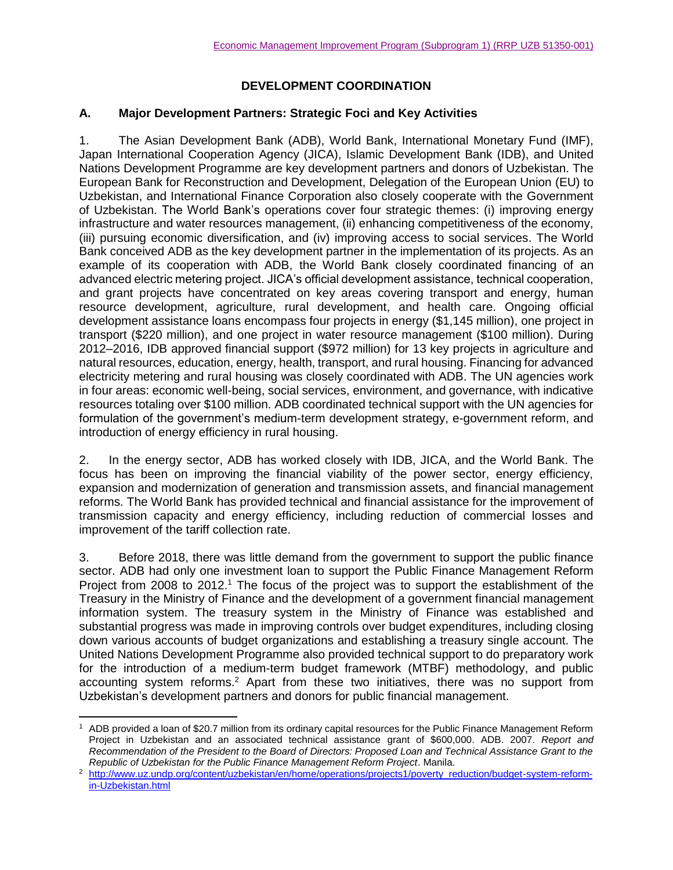# **DEVELOPMENT COORDINATION**

#### **A. Major Development Partners: Strategic Foci and Key Activities**

1. The Asian Development Bank (ADB), World Bank, International Monetary Fund (IMF), Japan International Cooperation Agency (JICA), Islamic Development Bank (IDB), and United Nations Development Programme are key development partners and donors of Uzbekistan. The European Bank for Reconstruction and Development, Delegation of the European Union (EU) to Uzbekistan, and International Finance Corporation also closely cooperate with the Government of Uzbekistan. The World Bank's operations cover four strategic themes: (i) improving energy infrastructure and water resources management, (ii) enhancing competitiveness of the economy, (iii) pursuing economic diversification, and (iv) improving access to social services. The World Bank conceived ADB as the key development partner in the implementation of its projects. As an example of its cooperation with ADB, the World Bank closely coordinated financing of an advanced electric metering project. JICA's official development assistance, technical cooperation, and grant projects have concentrated on key areas covering transport and energy, human resource development, agriculture, rural development, and health care. Ongoing official development assistance loans encompass four projects in energy (\$1,145 million), one project in transport (\$220 million), and one project in water resource management (\$100 million). During 2012–2016, IDB approved financial support (\$972 million) for 13 key projects in agriculture and natural resources, education, energy, health, transport, and rural housing. Financing for advanced electricity metering and rural housing was closely coordinated with ADB. The UN agencies work in four areas: economic well-being, social services, environment, and governance, with indicative resources totaling over \$100 million. ADB coordinated technical support with the UN agencies for formulation of the government's medium-term development strategy, e-government reform, and introduction of energy efficiency in rural housing.

2. In the energy sector, ADB has worked closely with IDB, JICA, and the World Bank. The focus has been on improving the financial viability of the power sector, energy efficiency, expansion and modernization of generation and transmission assets, and financial management reforms. The World Bank has provided technical and financial assistance for the improvement of transmission capacity and energy efficiency, including reduction of commercial losses and improvement of the tariff collection rate.

3. Before 2018, there was little demand from the government to support the public finance sector. ADB had only one investment loan to support the Public Finance Management Reform Project from 2008 to  $2012<sup>1</sup>$ . The focus of the project was to support the establishment of the Treasury in the Ministry of Finance and the development of a government financial management information system. The treasury system in the Ministry of Finance was established and substantial progress was made in improving controls over budget expenditures, including closing down various accounts of budget organizations and establishing a treasury single account. The United Nations Development Programme also provided technical support to do preparatory work for the introduction of a medium-term budget framework (MTBF) methodology, and public accounting system reforms. <sup>2</sup> Apart from these two initiatives, there was no support from Uzbekistan's development partners and donors for public financial management.

 $\overline{a}$ 

<sup>1</sup> ADB provided a loan of \$20.7 million from its ordinary capital resources for the Public Finance Management Reform Project in Uzbekistan and an associated technical assistance grant of \$600,000. ADB. 2007. *Report and Recommendation of the President to the Board of Directors: Proposed Loan and Technical Assistance Grant to the Republic of Uzbekistan for the Public Finance Management Reform Project*. Manila.

<sup>&</sup>lt;sup>2</sup> [http://www.uz.undp.org/content/uzbekistan/en/home/operations/projects1/poverty\\_reduction/budget-system-reform](http://www.uz.undp.org/content/uzbekistan/en/home/operations/projects1/poverty_reduction/budget-system-reform-in-Uzbekistan.html)[in-Uzbekistan.html](http://www.uz.undp.org/content/uzbekistan/en/home/operations/projects1/poverty_reduction/budget-system-reform-in-Uzbekistan.html)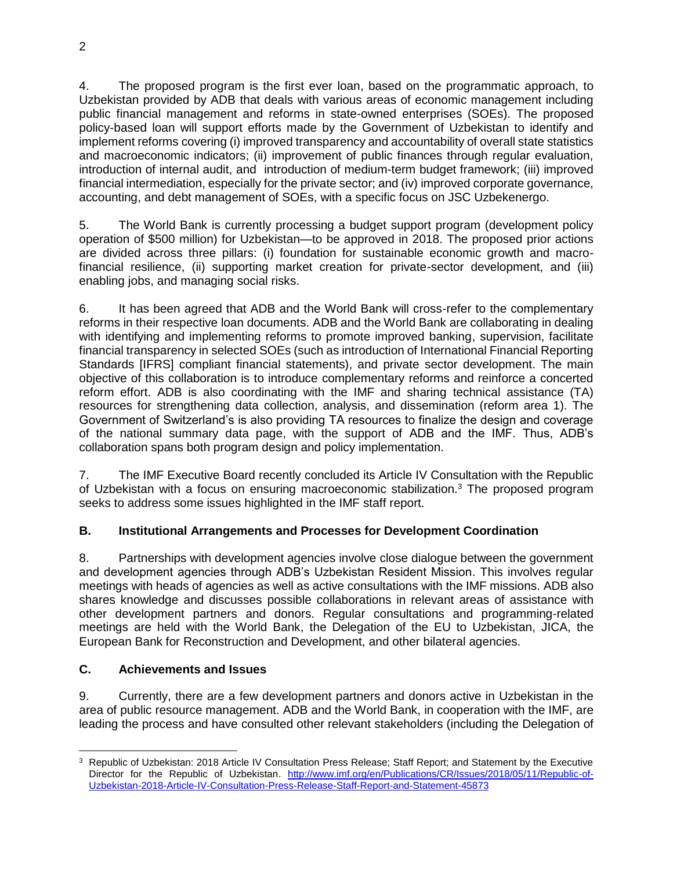4. The proposed program is the first ever loan, based on the programmatic approach, to Uzbekistan provided by ADB that deals with various areas of economic management including public financial management and reforms in state-owned enterprises (SOEs). The proposed policy-based loan will support efforts made by the Government of Uzbekistan to identify and implement reforms covering (i) improved transparency and accountability of overall state statistics and macroeconomic indicators; (ii) improvement of public finances through regular evaluation, introduction of internal audit, and introduction of medium-term budget framework; (iii) improved financial intermediation, especially for the private sector; and (iv) improved corporate governance, accounting, and debt management of SOEs, with a specific focus on JSC Uzbekenergo.

5. The World Bank is currently processing a budget support program (development policy operation of \$500 million) for Uzbekistan—to be approved in 2018. The proposed prior actions are divided across three pillars: (i) foundation for sustainable economic growth and macrofinancial resilience, (ii) supporting market creation for private-sector development, and (iii) enabling jobs, and managing social risks.

6. It has been agreed that ADB and the World Bank will cross-refer to the complementary reforms in their respective loan documents. ADB and the World Bank are collaborating in dealing with identifying and implementing reforms to promote improved banking, supervision, facilitate financial transparency in selected SOEs (such as introduction of International Financial Reporting Standards [IFRS] compliant financial statements), and private sector development. The main objective of this collaboration is to introduce complementary reforms and reinforce a concerted reform effort. ADB is also coordinating with the IMF and sharing technical assistance (TA) resources for strengthening data collection, analysis, and dissemination (reform area 1). The Government of Switzerland's is also providing TA resources to finalize the design and coverage of the national summary data page, with the support of ADB and the IMF. Thus, ADB's collaboration spans both program design and policy implementation.

7. The IMF Executive Board recently concluded its Article IV Consultation with the Republic of Uzbekistan with a focus on ensuring macroeconomic stabilization.<sup>3</sup> The proposed program seeks to address some issues highlighted in the IMF staff report.

## **B. Institutional Arrangements and Processes for Development Coordination**

8. Partnerships with development agencies involve close dialogue between the government and development agencies through ADB's Uzbekistan Resident Mission. This involves regular meetings with heads of agencies as well as active consultations with the IMF missions. ADB also shares knowledge and discusses possible collaborations in relevant areas of assistance with other development partners and donors. Regular consultations and programming-related meetings are held with the World Bank, the Delegation of the EU to Uzbekistan, JICA, the European Bank for Reconstruction and Development, and other bilateral agencies.

## **C. Achievements and Issues**

9. Currently, there are a few development partners and donors active in Uzbekistan in the area of public resource management. ADB and the World Bank, in cooperation with the IMF, are leading the process and have consulted other relevant stakeholders (including the Delegation of

 $\overline{a}$ <sup>3</sup> Republic of Uzbekistan: 2018 Article IV Consultation Press Release; Staff Report; and Statement by the Executive Director for the Republic of Uzbekistan. [http://www.imf.org/en/Publications/CR/Issues/2018/05/11/Republic-of-](http://www.imf.org/en/Publications/CR/Issues/2018/05/11/Republic-of-Uzbekistan-2018-Article-IV-Consultation-Press-Release-Staff-Report-and-Statement-45873)[Uzbekistan-2018-Article-IV-Consultation-Press-Release-Staff-Report-and-Statement-45873](http://www.imf.org/en/Publications/CR/Issues/2018/05/11/Republic-of-Uzbekistan-2018-Article-IV-Consultation-Press-Release-Staff-Report-and-Statement-45873)